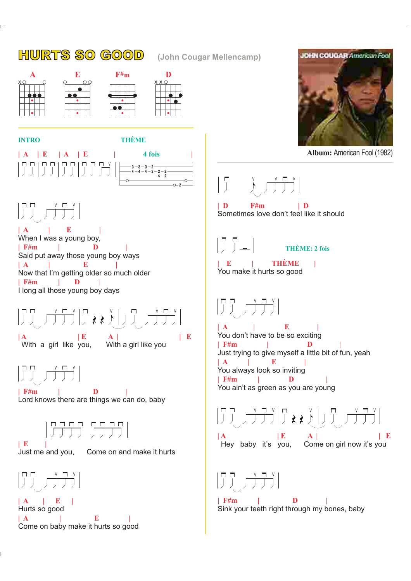## HURTS SO GOOD **(John Cougar Mellencamp)**





2

 $_{4-2}^{2-2}$ 



 $\left|\left[\begin{array}{cc} 1 & 0 \\ 0 & 1 \end{array}\right], \begin{array}{c} 0 & 0 \\ 0 & 0 \end{array}\right\rangle$ 

**| A | E | | F#m | D | | A | E | | F#m | D |** When I was a young boy, Said put away those young boy ways Now that I'm getting older so much older I long all those young boy days

**| A | E A | | E** With a girl like you, With a girl like you

 $\begin{array}{|c|c|c|c|}\hline \text{p} & \text{v} & \text{r} & \text{v} \\ \hline \end{array}$ 

**| F#m | D |** Lord knows there are things we can do, baby



**| E |**



Just me and you, Come on and make it hurts



**| A | E | | A | E |** Hurts so good Come on baby make it hurts so good

$$
\begin{array}{|c|c|}\hline \textbf{10H1COUOAR} \textbf{2H1C} & \textbf{10H1C} \\\hline \textbf{11H1} & \textbf{11H1} \\\hline \textbf{12H1} & \textbf{12H1} \\\hline \textbf{13H1} & \textbf{13H1} \\\hline \textbf{14H1} & \textbf{14H1} \\\hline \textbf{15H1} & \textbf{14H1} \\\hline \textbf{16H1} & \textbf{14H1} \\\hline \textbf{17H1} & \textbf{14H1} \\\hline \textbf{18H1} & \textbf{14H1} \\\hline \textbf{19H1} & \textbf{14H1} \\\hline \textbf{19H1} & \textbf{14H1} \\\hline \textbf{19H1} & \textbf{14H1} \\\hline \textbf{19H1} & \textbf{14H1} \\\hline \textbf{19H1} & \textbf{14H1} \\\hline \textbf{19H1} & \textbf{14H1} \\\hline \textbf{19H1} & \textbf{14H1} \\\hline \textbf{19H1} & \textbf{14H1} \\\hline \textbf{19H1} & \textbf{14H1} \\\hline \textbf{19H1} & \textbf{14H1} \\\hline \textbf{19H1} & \textbf{14H1} \\\hline \textbf{19H1} & \textbf{14H1} \\\hline \textbf{19H1} & \textbf{14H1} \\\hline \textbf{19H1} & \textbf{14H1} \\\hline \textbf{19H1} & \textbf{14H1} \\\hline \textbf{19H1} & \textbf{14H1} \\\hline \textbf{19H1} & \textbf{14H1} \\\hline \textbf{19H1} & \textbf{14H1} \\\hline \textbf{19H1} & \textbf{14H1} \\\hline \textbf{19H1} & \textbf{14H1} \\\hline \textbf{19H1} & \textbf{14H1} \\\hline \textbf{19H1} & \textbf{14H1} \\\hline \textbf{19H1} & \textbf{14H1} \
$$

**Album:** American Fool (1982)

 $\begin{bmatrix} 1 & \gamma & \sqrt{1+\gamma} \\ \sqrt{1+\gamma} & \sqrt{1+\gamma} & \sqrt{1+\gamma} \end{bmatrix}$ 

**| D F#m | D** Sometimes love don't feel like it should

 $\begin{bmatrix} 0 & 0 \\ 0 & 0 \end{bmatrix}$ **THÈME: 2 fois**

**| E | THÈME |** You make it hurts so good

## $\begin{bmatrix} 1 & 1 & 1 \\ 1 & 1 & 1 \\ 1 & 1 & 1 \end{bmatrix}$

**| A | E | | F#m | D | | A | E | | F#m | D |** You don't have to be so exciting Just trying to give myself a little bit of fun, yeah You always look so inviting You ain't as green as you are young

**| A | E A | | E** Hey baby it's you, Come on girl now it's you

 $\begin{array}{|c|c|c|c|c|}\hline \textbf{p} & \textbf{v} & \textbf{r} & \textbf{v} \\ \hline \end{array}$ 

**| F#m | D |** Sink your teeth right through my bones, baby